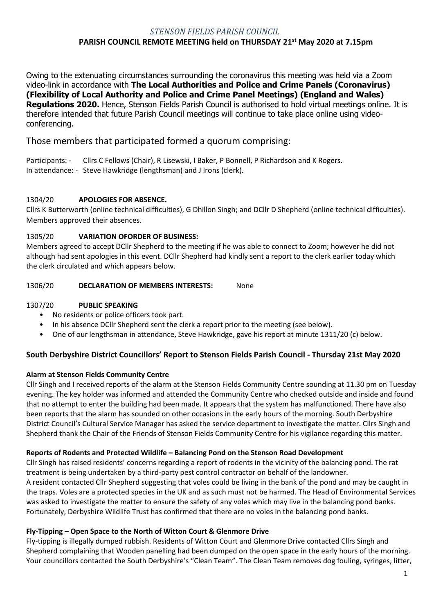# *STENSON FIELDS PARISH COUNCIL* **PARISH COUNCIL REMOTE MEETING held on THURSDAY 21st May 2020 at 7.15pm**

Owing to the extenuating circumstances surrounding the coronavirus this meeting was held via a Zoom video-link in accordance with **The Local Authorities and Police and Crime Panels (Coronavirus) (Flexibility of Local Authority and Police and Crime Panel Meetings) (England and Wales) Regulations 2020.** Hence, Stenson Fields Parish Council is authorised to hold virtual meetings online. It is therefore intended that future Parish Council meetings will continue to take place online using videoconferencing.

# Those members that participated formed a quorum comprising:

Participants: - Cllrs C Fellows (Chair), R Lisewski, I Baker, P Bonnell, P Richardson and K Rogers. In attendance: - Steve Hawkridge (lengthsman) and J Irons (clerk).

## 1304/20 **APOLOGIES FOR ABSENCE.**

Cllrs K Butterworth (online technical difficulties), G Dhillon Singh; and DCllr D Shepherd (online technical difficulties). Members approved their absences.

# 1305/20 **VARIATION OFORDER OF BUSINESS:**

Members agreed to accept DCllr Shepherd to the meeting if he was able to connect to Zoom; however he did not although had sent apologies in this event. DCllr Shepherd had kindly sent a report to the clerk earlier today which the clerk circulated and which appears below.

## 1306/20 **DECLARATION OF MEMBERS INTERESTS:** None

# 1307/20 **PUBLIC SPEAKING**

- No residents or police officers took part.
- In his absence DCllr Shepherd sent the clerk a report prior to the meeting (see below).
- One of our lengthsman in attendance, Steve Hawkridge, gave his report at minute 1311/20 (c) below.

# **South Derbyshire District Councillors' Report to Stenson Fields Parish Council - Thursday 21st May 2020**

## **Alarm at Stenson Fields Community Centre**

Cllr Singh and I received reports of the alarm at the Stenson Fields Community Centre sounding at 11.30 pm on Tuesday evening. The key holder was informed and attended the Community Centre who checked outside and inside and found that no attempt to enter the building had been made. It appears that the system has malfunctioned. There have also been reports that the alarm has sounded on other occasions in the early hours of the morning. South Derbyshire District Council's Cultural Service Manager has asked the service department to investigate the matter. Cllrs Singh and Shepherd thank the Chair of the Friends of Stenson Fields Community Centre for his vigilance regarding this matter.

## **Reports of Rodents and Protected Wildlife – Balancing Pond on the Stenson Road Development**

Cllr Singh has raised residents' concerns regarding a report of rodents in the vicinity of the balancing pond. The rat treatment is being undertaken by a third-party pest control contractor on behalf of the landowner. A resident contacted Cllr Shepherd suggesting that voles could be living in the bank of the pond and may be caught in the traps. Voles are a protected species in the UK and as such must not be harmed. The Head of Environmental Services was asked to investigate the matter to ensure the safety of any voles which may live in the balancing pond banks. Fortunately, Derbyshire Wildlife Trust has confirmed that there are no voles in the balancing pond banks.

## **Fly-Tipping – Open Space to the North of Witton Court & Glenmore Drive**

Fly-tipping is illegally dumped rubbish. Residents of Witton Court and Glenmore Drive contacted Cllrs Singh and Shepherd complaining that Wooden panelling had been dumped on the open space in the early hours of the morning. Your councillors contacted the South Derbyshire's "Clean Team". The Clean Team removes dog fouling, syringes, litter,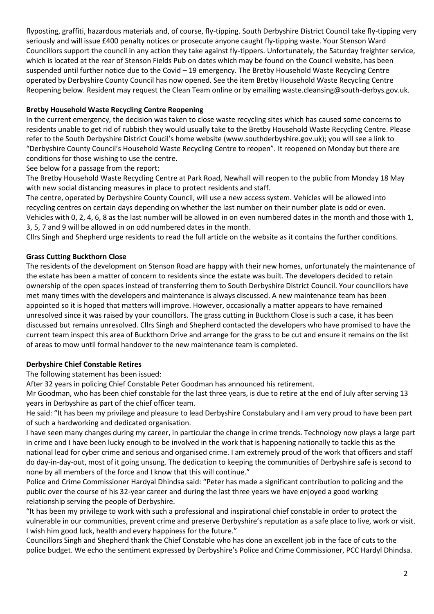flyposting, graffiti, hazardous materials and, of course, fly-tipping. South Derbyshire District Council take fly-tipping very seriously and will issue £400 penalty notices or prosecute anyone caught fly-tipping waste. Your Stenson Ward Councillors support the council in any action they take against fly-tippers. Unfortunately, the Saturday freighter service, which is located at the rear of Stenson Fields Pub on dates which may be found on the Council website, has been suspended until further notice due to the Covid – 19 emergency. The Bretby Household Waste Recycling Centre operated by Derbyshire County Council has now opened. See the item Bretby Household Waste Recycling Centre Reopening below. Resident may request the Clean Team online or by emailing waste.cleansing@south-derbys.gov.uk.

# **Bretby Household Waste Recycling Centre Reopening**

In the current emergency, the decision was taken to close waste recycling sites which has caused some concerns to residents unable to get rid of rubbish they would usually take to the Bretby Household Waste Recycling Centre. Please refer to the South Derbyshire District Coucil's home website (www.southderbyshire.gov.uk); you will see a link to "Derbyshire County Council's Household Waste Recycling Centre to reopen". It reopened on Monday but there are conditions for those wishing to use the centre.

See below for a passage from the report:

The Bretby Household Waste Recycling Centre at Park Road, Newhall will reopen to the public from Monday 18 May with new social distancing measures in place to protect residents and staff.

The centre, operated by Derbyshire County Council, will use a new access system. Vehicles will be allowed into recycling centres on certain days depending on whether the last number on their number plate is odd or even. Vehicles with 0, 2, 4, 6, 8 as the last number will be allowed in on even numbered dates in the month and those with 1, 3, 5, 7 and 9 will be allowed in on odd numbered dates in the month.

Cllrs Singh and Shepherd urge residents to read the full article on the website as it contains the further conditions.

## **Grass Cutting Buckthorn Close**

The residents of the development on Stenson Road are happy with their new homes, unfortunately the maintenance of the estate has been a matter of concern to residents since the estate was built. The developers decided to retain ownership of the open spaces instead of transferring them to South Derbyshire District Council. Your councillors have met many times with the developers and maintenance is always discussed. A new maintenance team has been appointed so it is hoped that matters will improve. However, occasionally a matter appears to have remained unresolved since it was raised by your councillors. The grass cutting in Buckthorn Close is such a case, it has been discussed but remains unresolved. Cllrs Singh and Shepherd contacted the developers who have promised to have the current team inspect this area of Buckthorn Drive and arrange for the grass to be cut and ensure it remains on the list of areas to mow until formal handover to the new maintenance team is completed.

# **Derbyshire Chief Constable Retires**

The following statement has been issued:

After 32 years in policing Chief Constable Peter Goodman has announced his retirement.

Mr Goodman, who has been chief constable for the last three years, is due to retire at the end of July after serving 13 years in Derbyshire as part of the chief officer team.

He said: "It has been my privilege and pleasure to lead Derbyshire Constabulary and I am very proud to have been part of such a hardworking and dedicated organisation.

I have seen many changes during my career, in particular the change in crime trends. Technology now plays a large part in crime and I have been lucky enough to be involved in the work that is happening nationally to tackle this as the national lead for cyber crime and serious and organised crime. I am extremely proud of the work that officers and staff do day-in-day-out, most of it going unsung. The dedication to keeping the communities of Derbyshire safe is second to none by all members of the force and I know that this will continue."

Police and Crime Commissioner Hardyal Dhindsa said: "Peter has made a significant contribution to policing and the public over the course of his 32-year career and during the last three years we have enjoyed a good working relationship serving the people of Derbyshire.

"It has been my privilege to work with such a professional and inspirational chief constable in order to protect the vulnerable in our communities, prevent crime and preserve Derbyshire's reputation as a safe place to live, work or visit. I wish him good luck, health and every happiness for the future."

Councillors Singh and Shepherd thank the Chief Constable who has done an excellent job in the face of cuts to the police budget. We echo the sentiment expressed by Derbyshire's Police and Crime Commissioner, PCC Hardyl Dhindsa.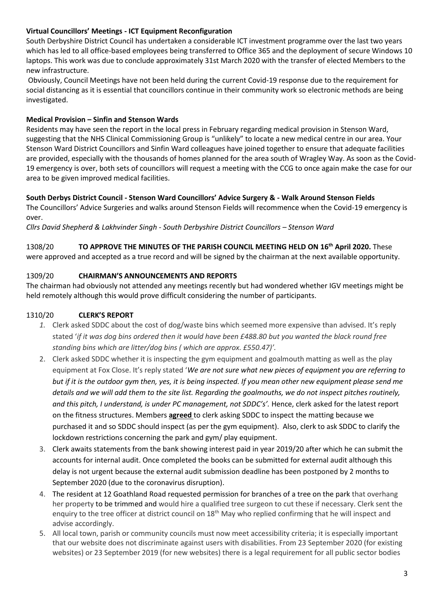# **Virtual Councillors' Meetings - ICT Equipment Reconfiguration**

South Derbyshire District Council has undertaken a considerable ICT investment programme over the last two years which has led to all office-based employees being transferred to Office 365 and the deployment of secure Windows 10 laptops. This work was due to conclude approximately 31st March 2020 with the transfer of elected Members to the new infrastructure.

Obviously, Council Meetings have not been held during the current Covid-19 response due to the requirement for social distancing as it is essential that councillors continue in their community work so electronic methods are being investigated.

### **Medical Provision – Sinfin and Stenson Wards**

Residents may have seen the report in the local press in February regarding medical provision in Stenson Ward, suggesting that the NHS Clinical Commissioning Group is "unlikely" to locate a new medical centre in our area. Your Stenson Ward District Councillors and Sinfin Ward colleagues have joined together to ensure that adequate facilities are provided, especially with the thousands of homes planned for the area south of Wragley Way. As soon as the Covid-19 emergency is over, both sets of councillors will request a meeting with the CCG to once again make the case for our area to be given improved medical facilities.

#### **South Derbys District Council - Stenson Ward Councillors' Advice Surgery & - Walk Around Stenson Fields**

The Councillors' Advice Surgeries and walks around Stenson Fields will recommence when the Covid-19 emergency is over.

*Cllrs David Shepherd & Lakhvinder Singh - South Derbyshire District Councillors – Stenson Ward*

#### 1308/20 **TO APPROVE THE MINUTES OF THE PARISH COUNCIL MEETING HELD ON 16 th April 2020.** These

were approved and accepted as a true record and will be signed by the chairman at the next available opportunity.

#### 1309/20 **CHAIRMAN'S ANNOUNCEMENTS AND REPORTS**

The chairman had obviously not attended any meetings recently but had wondered whether IGV meetings might be held remotely although this would prove difficult considering the number of participants.

#### 1310/20 **CLERK'S REPORT**

- *1.* Clerk asked SDDC about the cost of dog/waste bins which seemed more expensive than advised. It's reply stated '*if it was dog bins ordered then it would have been £488.80 but you wanted the black round free standing bins which are litter/dog bins ( which are approx. £550.47)'.*
- 2. Clerk asked SDDC whether it is inspecting the gym equipment and goalmouth matting as well as the play equipment at Fox Close. It's reply stated '*We are not sure what new pieces of equipment you are referring to but if it is the outdoor gym then, yes, it is being inspected. If you mean other new equipment please send me details and we will add them to the site list. Regarding the goalmouths, we do not inspect pitches routinely,*  and this pitch, I understand, is under PC management, not SDDC's'. Hence, clerk asked for the latest report on the fitness structures. Members **agreed** to clerk asking SDDC to inspect the matting because we purchased it and so SDDC should inspect (as per the gym equipment). Also, clerk to ask SDDC to clarify the lockdown restrictions concerning the park and gym/ play equipment.
- 3. Clerk awaits statements from the bank showing interest paid in year 2019/20 after which he can submit the accounts for internal audit. Once completed the books can be submitted for external audit although this delay is not urgent because the external audit submission deadline has been postponed by 2 months to September 2020 (due to the coronavirus disruption).
- 4. The resident at 12 Goathland Road requested permission for branches of a tree on the park that overhang her property to be trimmed and would hire a qualified tree surgeon to cut these if necessary. Clerk sent the enquiry to the tree officer at district council on  $18<sup>th</sup>$  May who replied confirming that he will inspect and advise accordingly.
- 5. All local town, parish or community councils must now meet accessibility criteria; it is especially important that our website does not discriminate against users with disabilities. From 23 September 2020 (for existing websites) or 23 September 2019 (for new websites) there is a legal requirement for all public sector bodies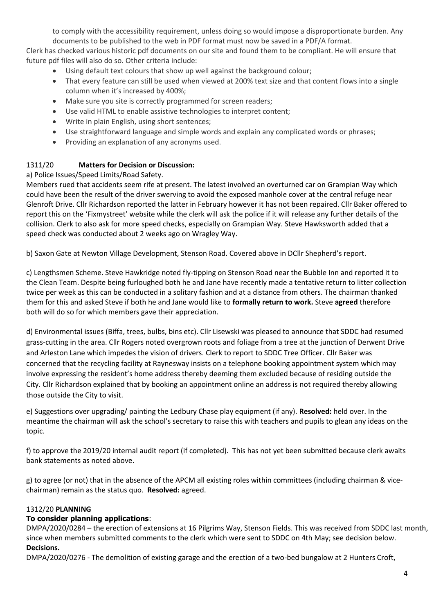to comply with the accessibility requirement, unless doing so would impose a disproportionate burden. Any documents to be published to the web in PDF format must now be saved in a PDF/A format.

Clerk has checked various historic pdf documents on our site and found them to be compliant. He will ensure that future pdf files will also do so. Other criteria include:

- Using default text colours that show up well against the background colour;
- That every feature can still be used when viewed at 200% text size and that content flows into a single column when it's increased by 400%;
- Make sure you site is correctly programmed for screen readers;
- Use valid HTML to enable assistive technologies to interpret content;
- Write in plain English, using short sentences;
- Use straightforward language and simple words and explain any complicated words or phrases;
- Providing an explanation of any acronyms used.

# 1311/20 **Matters for Decision or Discussion:**

a) Police Issues/Speed Limits/Road Safety.

Members rued that accidents seem rife at present. The latest involved an overturned car on Grampian Way which could have been the result of the driver swerving to avoid the exposed manhole cover at the central refuge near Glenroft Drive. Cllr Richardson reported the latter in February however it has not been repaired. Cllr Baker offered to report this on the 'Fixmystreet' website while the clerk will ask the police if it will release any further details of the collision. Clerk to also ask for more speed checks, especially on Grampian Way. Steve Hawksworth added that a speed check was conducted about 2 weeks ago on Wragley Way.

b) Saxon Gate at Newton Village Development, Stenson Road. Covered above in DCllr Shepherd's report.

c) Lengthsmen Scheme. Steve Hawkridge noted fly-tipping on Stenson Road near the Bubble Inn and reported it to the Clean Team. Despite being furloughed both he and Jane have recently made a tentative return to litter collection twice per week as this can be conducted in a solitary fashion and at a distance from others. The chairman thanked them for this and asked Steve if both he and Jane would like to **formally return to work.** Steve **agreed** therefore both will do so for which members gave their appreciation.

d) Environmental issues (Biffa, trees, bulbs, bins etc). Cllr Lisewski was pleased to announce that SDDC had resumed grass-cutting in the area. Cllr Rogers noted overgrown roots and foliage from a tree at the junction of Derwent Drive and Arleston Lane which impedes the vision of drivers. Clerk to report to SDDC Tree Officer. Cllr Baker was concerned that the recycling facility at Raynesway insists on a telephone booking appointment system which may involve expressing the resident's home address thereby deeming them excluded because of residing outside the City. Cllr Richardson explained that by booking an appointment online an address is not required thereby allowing those outside the City to visit.

e) Suggestions over upgrading/ painting the Ledbury Chase play equipment (if any). **Resolved:** held over. In the meantime the chairman will ask the school's secretary to raise this with teachers and pupils to glean any ideas on the topic.

f) to approve the 2019/20 internal audit report (if completed). This has not yet been submitted because clerk awaits bank statements as noted above.

g) to agree (or not) that in the absence of the APCM all existing roles within committees (including chairman & vicechairman) remain as the status quo. **Resolved:** agreed.

## 1312/20 **PLANNING**

## **To consider planning applications**:

DMPA/2020/0284 – the erection of extensions at 16 Pilgrims Way, Stenson Fields. This was received from SDDC last month, since when members submitted comments to the clerk which were sent to SDDC on 4th May; see decision below. **Decisions.**

DMPA/2020/0276 - The demolition of existing garage and the erection of a two-bed bungalow at 2 Hunters Croft,